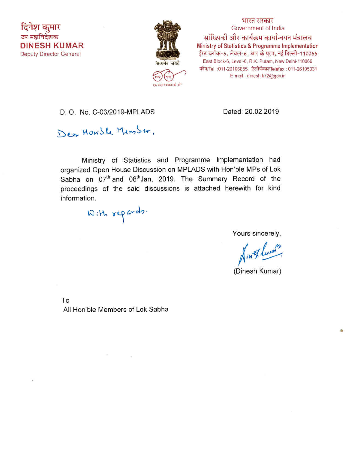

भारत सरकार Government of India मांख्यिकी और कार्यक्रम कार्यान्वयन मंत्रालय Ministry of Statistics & Programme Implementation ईस्ट ब्लॉक-6, लेवल-6, आर के पुरम, नई दिल्ली-110066 East Block-6, Level-6, R.K. Puram, New Delhi-110066 फोन/Tel.: 011-26106855 टेलीफैक्स/Telefax: 011-26105331 E-mail: dinesh.k72@gov.in

D. O. No. C-03/2019-MPLADS

Dated: 20.02.2019

Dear Howsle Memser,

Ministry of Statistics and Programme Implementation had organized Open House Discussion on MPLADS with Hon'ble MPs of Lok Sabha on 07<sup>th</sup> and 08<sup>th</sup> Jan, 2019. The Summary Record of the proceedings of the said discussions is attached herewith for kind information.

With repards.

Yours sincerely,

Hin Thum?

(Dinesh Kumar)

To

All Hon'ble Members of Lok Sabha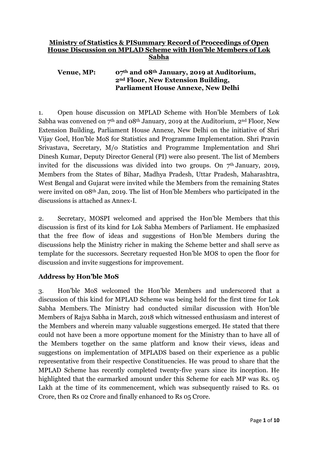# **Ministry of Statistics & PISummary Record of Proceedings of Open House Discussion on MPLAD Scheme with Hon'ble Members of Lok Sabha**

# **Venue, MP: 07th and 08th January, 2019 at Auditorium, 2nd Floor, New Extension Building, Parliament House Annexe, New Delhi**

1. Open house discussion on MPLAD Scheme with Hon'ble Members of Lok Sabha was convened on  $7<sup>th</sup>$  and  $08<sup>th</sup>$  January, 2019 at the Auditorium, 2<sup>nd</sup> Floor, New Extension Building, Parliament House Annexe, New Delhi on the initiative of Shri Vijay Goel, Hon'ble MoS for Statistics and Programme Implementation. Shri Pravin Srivastava, Secretary, M/o Statistics and Programme Implementation and Shri Dinesh Kumar, Deputy Director General (PI) were also present. The list of Members invited for the discussions was divided into two groups. On  $7<sup>th</sup>$  January, 2019, Members from the States of Bihar, Madhya Pradesh, Uttar Pradesh, Maharashtra, West Bengal and Gujarat were invited while the Members from the remaining States were invited on 08th Jan, 2019. The list of Hon'ble Members who participated in the discussions is attached as Annex-I.

2. Secretary, MOSPI welcomed and apprised the Hon'ble Members that this discussion is first of its kind for Lok Sabha Members of Parliament. He emphasized that the free flow of ideas and suggestions of Hon'ble Members during the discussions help the Ministry richer in making the Scheme better and shall serve as template for the successors. Secretary requested Hon'ble MOS to open the floor for discussion and invite suggestions for improvement.

# **Address by Hon'ble MoS**

3. Hon'ble MoS welcomed the Hon'ble Members and underscored that a discussion of this kind for MPLAD Scheme was being held for the first time for Lok Sabha Members. The Ministry had conducted similar discussion with Hon'ble Members of Rajya Sabha in March, 2018 which witnessed enthusiasm and interest of the Members and wherein many valuable suggestions emerged. He stated that there could not have been a more opportune moment for the Ministry than to have all of the Members together on the same platform and know their views, ideas and suggestions on implementation of MPLADS based on their experience as a public representative from their respective Constituencies. He was proud to share that the MPLAD Scheme has recently completed twenty-five years since its inception. He highlighted that the earmarked amount under this Scheme for each MP was Rs. 05 Lakh at the time of its commencement, which was subsequently raised to Rs. 01 Crore, then Rs 02 Crore and finally enhanced to Rs 05 Crore.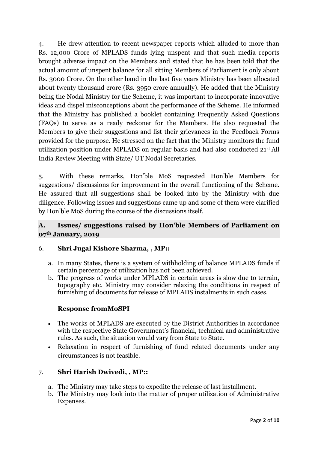4. He drew attention to recent newspaper reports which alluded to more than Rs. 12,000 Crore of MPLADS funds lying unspent and that such media reports brought adverse impact on the Members and stated that he has been told that the actual amount of unspent balance for all sitting Members of Parliament is only about Rs. 3000 Crore. On the other hand in the last five years Ministry has been allocated about twenty thousand crore (Rs. 3950 crore annually). He added that the Ministry being the Nodal Ministry for the Scheme, it was important to incorporate innovative ideas and dispel misconceptions about the performance of the Scheme. He informed that the Ministry has published a booklet containing Frequently Asked Questions (FAQs) to serve as a ready reckoner for the Members. He also requested the Members to give their suggestions and list their grievances in the Feedback Forms provided for the purpose. He stressed on the fact that the Ministry monitors the fund utilization position under MPLADS on regular basis and had also conducted 21st All India Review Meeting with State/ UT Nodal Secretaries.

5. With these remarks, Hon'ble MoS requested Hon'ble Members for suggestions/ discussions for improvement in the overall functioning of the Scheme. He assured that all suggestions shall be looked into by the Ministry with due diligence. Following issues and suggestions came up and some of them were clarified by Hon'ble MoS during the course of the discussions itself.

# **A. Issues/ suggestions raised by Hon'ble Members of Parliament on 07th January, 2019**

# 6. **Shri Jugal Kishore Sharma, , MP::**

- a. In many States, there is a system of withholding of balance MPLADS funds if certain percentage of utilization has not been achieved.
- b. The progress of works under MPLADS in certain areas is slow due to terrain, topography etc. Ministry may consider relaxing the conditions in respect of furnishing of documents for release of MPLADS instalments in such cases.

# **Response fromMoSPI**

- The works of MPLADS are executed by the District Authorities in accordance with the respective State Government's financial, technical and administrative rules. As such, the situation would vary from State to State.
- Relaxation in respect of furnishing of fund related documents under any circumstances is not feasible.

# 7. **Shri Harish Dwivedi, , MP::**

- a. The Ministry may take steps to expedite the release of last installment.
- b. The Ministry may look into the matter of proper utilization of Administrative Expenses.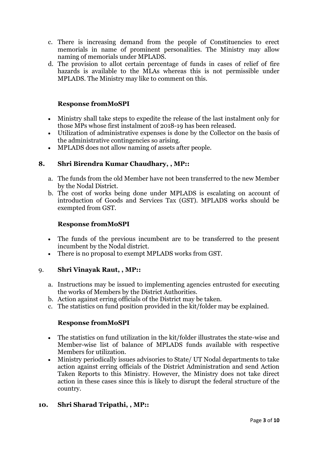- c. There is increasing demand from the people of Constituencies to erect memorials in name of prominent personalities. The Ministry may allow naming of memorials under MPLADS.
- d. The provision to allot certain percentage of funds in cases of relief of fire hazards is available to the MLAs whereas this is not permissible under MPLADS. The Ministry may like to comment on this.

# **Response fromMoSPI**

- Ministry shall take steps to expedite the release of the last instalment only for those MPs whose first instalment of 2018-19 has been released.
- Utilization of administrative expenses is done by the Collector on the basis of the administrative contingencies so arising.
- MPLADS does not allow naming of assets after people.

# **8. Shri Birendra Kumar Chaudhary, , MP::**

- a. The funds from the old Member have not been transferred to the new Member by the Nodal District.
- b. The cost of works being done under MPLADS is escalating on account of introduction of Goods and Services Tax (GST). MPLADS works should be exempted from GST.

### **Response fromMoSPI**

- The funds of the previous incumbent are to be transferred to the present incumbent by the Nodal district.
- There is no proposal to exempt MPLADS works from GST.

# 9. **Shri Vinayak Raut, , MP::**

- a. Instructions may be issued to implementing agencies entrusted for executing the works of Members by the District Authorities.
- b. Action against erring officials of the District may be taken.
- c. The statistics on fund position provided in the kit/folder may be explained.

# **Response fromMoSPI**

- The statistics on fund utilization in the kit/folder illustrates the state-wise and Member-wise list of balance of MPLADS funds available with respective Members for utilization.
- Ministry periodically issues advisories to State/ UT Nodal departments to take action against erring officials of the District Administration and send Action Taken Reports to this Ministry. However, the Ministry does not take direct action in these cases since this is likely to disrupt the federal structure of the country.

# **10. Shri Sharad Tripathi, , MP::**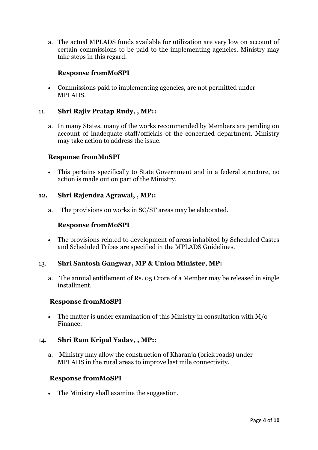a. The actual MPLADS funds available for utilization are very low on account of certain commissions to be paid to the implementing agencies. Ministry may take steps in this regard.

# **Response fromMoSPI**

 Commissions paid to implementing agencies, are not permitted under MPLADS.

### 11. **Shri Rajiv Pratap Rudy, , MP::**

a. In many States, many of the works recommended by Members are pending on account of inadequate staff/officials of the concerned department. Ministry may take action to address the issue.

# **Response fromMoSPI**

 This pertains specifically to State Government and in a federal structure, no action is made out on part of the Ministry.

#### **12. Shri Rajendra Agrawal, , MP::**

a. The provisions on works in SC/ST areas may be elaborated.

### **Response fromMoSPI**

 The provisions related to development of areas inhabited by Scheduled Castes and Scheduled Tribes are specified in the MPLADS Guidelines.

#### 13. **Shri Santosh Gangwar, MP & Union Minister, MP:**

a. The annual entitlement of Rs. 05 Crore of a Member may be released in single installment.

#### **Response fromMoSPI**

 The matter is under examination of this Ministry in consultation with M/o Finance.

#### 14. **Shri Ram Kripal Yadav, , MP::**

a. Ministry may allow the construction of Kharanja (brick roads) under MPLADS in the rural areas to improve last mile connectivity.

#### **Response fromMoSPI**

• The Ministry shall examine the suggestion.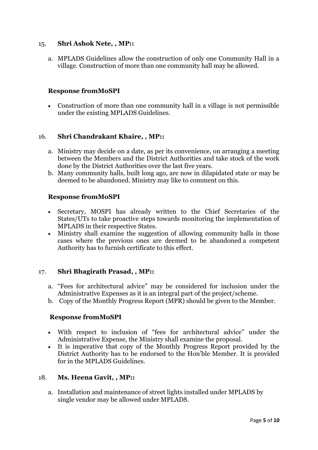# 15. **Shri Ashok Nete, , MP::**

a. MPLADS Guidelines allow the construction of only one Community Hall in a village. Construction of more than one community hall may be allowed.

# **Response fromMoSPI**

 Construction of more than one community hall in a village is not permissible under the existing MPLADS Guidelines.

### 16. **Shri Chandrakant Khaire, , MP::**

- a. Ministry may decide on a date, as per its convenience, on arranging a meeting between the Members and the District Authorities and take stock of the work done by the District Authorities over the last five years.
- b. Many community halls, built long ago, are now in dilapidated state or may be deemed to be abandoned. Ministry may like to comment on this.

### **Response fromMoSPI**

- Secretary, MOSPI has already written to the Chief Secretaries of the States/UTs to take proactive steps towards monitoring the implementation of MPLADS in their respective States.
- Ministry shall examine the suggestion of allowing community halls in those cases where the previous ones are deemed to be abandoned a competent Authority has to furnish certificate to this effect.

#### 17. **Shri Bhagirath Prasad, , MP::**

- a. "Fees for architectural advice" may be considered for inclusion under the Administrative Expenses as it is an integral part of the project/scheme.
- b. Copy of the Monthly Progress Report (MPR) should be given to the Member.

#### **Response fromMoSPI**

- With respect to inclusion of "fees for architectural advice" under the Administrative Expense, the Ministry shall examine the proposal.
- It is imperative that copy of the Monthly Progress Report provided by the District Authority has to be endorsed to the Hon'ble Member. It is provided for in the MPLADS Guidelines.

#### 18. **Ms. Heena Gavit, , MP::**

a. Installation and maintenance of street lights installed under MPLADS by single vendor may be allowed under MPLADS.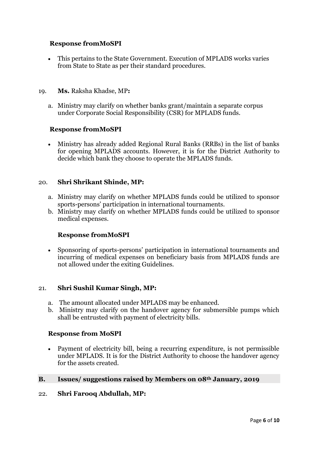# **Response fromMoSPI**

 This pertains to the State Government. Execution of MPLADS works varies from State to State as per their standard procedures.

### 19. **Ms.** Raksha Khadse, MP**:**

a. Ministry may clarify on whether banks grant/maintain a separate corpus under Corporate Social Responsibility (CSR) for MPLADS funds.

### **Response fromMoSPI**

 Ministry has already added Regional Rural Banks (RRBs) in the list of banks for opening MPLADS accounts. However, it is for the District Authority to decide which bank they choose to operate the MPLADS funds.

# 20. **Shri Shrikant Shinde, MP:**

- a. Ministry may clarify on whether MPLADS funds could be utilized to sponsor sports-persons' participation in international tournaments.
- b. Ministry may clarify on whether MPLADS funds could be utilized to sponsor medical expenses.

# **Response fromMoSPI**

 Sponsoring of sports-persons' participation in international tournaments and incurring of medical expenses on beneficiary basis from MPLADS funds are not allowed under the exiting Guidelines.

#### 21. **Shri Sushil Kumar Singh, MP:**

- a. The amount allocated under MPLADS may be enhanced.
- b. Ministry may clarify on the handover agency for submersible pumps which shall be entrusted with payment of electricity bills.

#### **Response from MoSPI**

 Payment of electricity bill, being a recurring expenditure, is not permissible under MPLADS. It is for the District Authority to choose the handover agency for the assets created.

#### **B. Issues/ suggestions raised by Members on 08th January, 2019**

#### 22. **Shri Farooq Abdullah, MP:**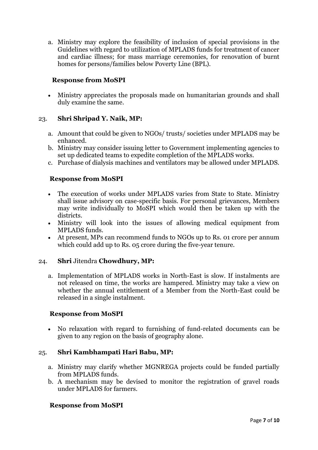a. Ministry may explore the feasibility of inclusion of special provisions in the Guidelines with regard to utilization of MPLADS funds for treatment of cancer and cardiac illness; for mass marriage ceremonies, for renovation of burnt homes for persons/families below Poverty Line (BPL).

# **Response from MoSPI**

 Ministry appreciates the proposals made on humanitarian grounds and shall duly examine the same.

# 23. **Shri Shripad Y. Naik, MP:**

- a. Amount that could be given to NGOs/ trusts/ societies under MPLADS may be enhanced.
- b. Ministry may consider issuing letter to Government implementing agencies to set up dedicated teams to expedite completion of the MPLADS works.
- c. Purchase of dialysis machines and ventilators may be allowed under MPLADS.

# **Response from MoSPI**

- The execution of works under MPLADS varies from State to State. Ministry shall issue advisory on case-specific basis. For personal grievances, Members may write individually to MoSPI which would then be taken up with the districts.
- Ministry will look into the issues of allowing medical equipment from MPLADS funds.
- At present, MPs can recommend funds to NGOs up to Rs. 01 crore per annum which could add up to Rs. 05 crore during the five-year tenure.

#### 24. **Shri** Jitendra **Chowdhury, MP:**

a. Implementation of MPLADS works in North-East is slow. If instalments are not released on time, the works are hampered. Ministry may take a view on whether the annual entitlement of a Member from the North-East could be released in a single instalment.

# **Response from MoSPI**

• No relaxation with regard to furnishing of fund-related documents can be given to any region on the basis of geography alone.

# 25. **Shri Kambhampati Hari Babu, MP:**

- a. Ministry may clarify whether MGNREGA projects could be funded partially from MPLADS funds.
- b. A mechanism may be devised to monitor the registration of gravel roads under MPLADS for farmers.

#### **Response from MoSPI**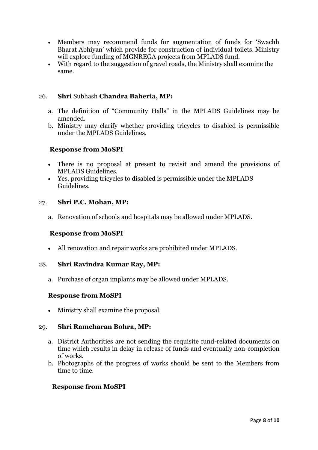- Members may recommend funds for augmentation of funds for 'Swachh Bharat Abhiyan' which provide for construction of individual toilets. Ministry will explore funding of MGNREGA projects from MPLADS fund.
- With regard to the suggestion of gravel roads, the Ministry shall examine the same.

### 26. **Shri** Subhash **Chandra Baheria, MP:**

- a. The definition of "Community Halls" in the MPLADS Guidelines may be amended.
- b. Ministry may clarify whether providing tricycles to disabled is permissible under the MPLADS Guidelines.

### **Response from MoSPI**

- There is no proposal at present to revisit and amend the provisions of MPLADS Guidelines.
- Yes, providing tricycles to disabled is permissible under the MPLADS Guidelines.

### 27. **Shri P.C. Mohan, MP:**

a. Renovation of schools and hospitals may be allowed under MPLADS.

#### **Response from MoSPI**

All renovation and repair works are prohibited under MPLADS.

#### 28. **Shri Ravindra Kumar Ray, MP:**

a. Purchase of organ implants may be allowed under MPLADS.

# **Response from MoSPI**

• Ministry shall examine the proposal.

#### 29. **Shri Ramcharan Bohra, MP:**

- a. District Authorities are not sending the requisite fund-related documents on time which results in delay in release of funds and eventually non-completion of works.
- b. Photographs of the progress of works should be sent to the Members from time to time.

#### **Response from MoSPI**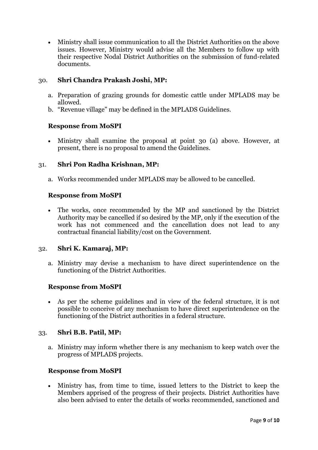Ministry shall issue communication to all the District Authorities on the above issues. However, Ministry would advise all the Members to follow up with their respective Nodal District Authorities on the submission of fund-related documents.

# 30. **Shri Chandra Prakash Joshi, MP:**

- a. Preparation of grazing grounds for domestic cattle under MPLADS may be allowed.
- b. "Revenue village" may be defined in the MPLADS Guidelines.

# **Response from MoSPI**

 Ministry shall examine the proposal at point 30 (a) above. However, at present, there is no proposal to amend the Guidelines.

# 31. **Shri Pon Radha Krishnan, MP:**

a. Works recommended under MPLADS may be allowed to be cancelled.

# **Response from MoSPI**

 The works, once recommended by the MP and sanctioned by the District Authority may be cancelled if so desired by the MP, only if the execution of the work has not commenced and the cancellation does not lead to any contractual financial liability/cost on the Government.

# 32. **Shri K. Kamaraj, MP:**

a. Ministry may devise a mechanism to have direct superintendence on the functioning of the District Authorities.

# **Response from MoSPI**

 As per the scheme guidelines and in view of the federal structure, it is not possible to conceive of any mechanism to have direct superintendence on the functioning of the District authorities in a federal structure.

# 33. **Shri B.B. Patil, MP:**

a. Ministry may inform whether there is any mechanism to keep watch over the progress of MPLADS projects.

# **Response from MoSPI**

 Ministry has, from time to time, issued letters to the District to keep the Members apprised of the progress of their projects. District Authorities have also been advised to enter the details of works recommended, sanctioned and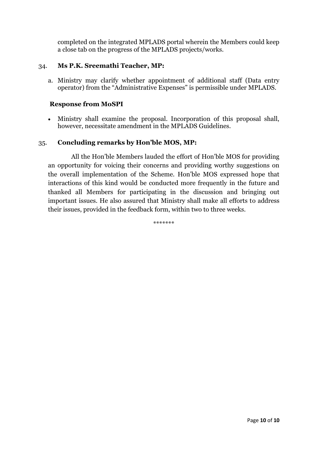completed on the integrated MPLADS portal wherein the Members could keep a close tab on the progress of the MPLADS projects/works.

# 34. **Ms P.K. Sreemathi Teacher, MP:**

a. Ministry may clarify whether appointment of additional staff (Data entry operator) from the "Administrative Expenses" is permissible under MPLADS.

# **Response from MoSPI**

 Ministry shall examine the proposal. Incorporation of this proposal shall, however, necessitate amendment in the MPLADS Guidelines.

# 35. **Concluding remarks by Hon'ble MOS, MP:**

 All the Hon'ble Members lauded the effort of Hon'ble MOS for providing an opportunity for voicing their concerns and providing worthy suggestions on the overall implementation of the Scheme. Hon'ble MOS expressed hope that interactions of this kind would be conducted more frequently in the future and thanked all Members for participating in the discussion and bringing out important issues. He also assured that Ministry shall make all efforts to address their issues, provided in the feedback form, within two to three weeks.

\*\*\*\*\*\*\*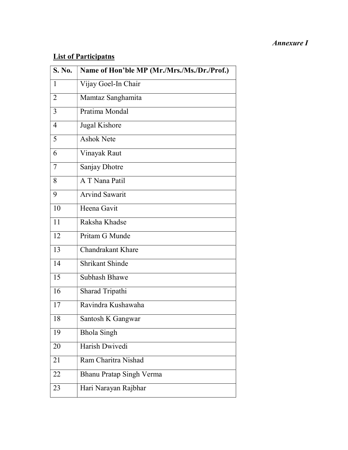# Annexure I

# List of Participatns

| S. No.         | Name of Hon'ble MP (Mr./Mrs./Ms./Dr./Prof.) |
|----------------|---------------------------------------------|
| 1              | Vijay Goel-In Chair                         |
| $\overline{2}$ | Mamtaz Sanghamita                           |
| 3              | Pratima Mondal                              |
| $\overline{4}$ | Jugal Kishore                               |
| 5              | <b>Ashok Nete</b>                           |
| 6              | Vinayak Raut                                |
| 7              | Sanjay Dhotre                               |
| 8              | A T Nana Patil                              |
| 9              | <b>Arvind Sawarit</b>                       |
| 10             | Heena Gavit                                 |
| 11             | Raksha Khadse                               |
| 12             | Pritam G Munde                              |
| 13             | <b>Chandrakant Khare</b>                    |
| 14             | <b>Shrikant Shinde</b>                      |
| 15             | <b>Subhash Bhawe</b>                        |
| 16             | Sharad Tripathi                             |
| 17             | Ravindra Kushawaha                          |
| 18             | Santosh K Gangwar                           |
| 19             | <b>Bhola Singh</b>                          |
| 20             | Harish Dwivedi                              |
| 21             | Ram Charitra Nishad                         |
| 22             | Bhanu Pratap Singh Verma                    |
| 23             | Hari Narayan Rajbhar                        |